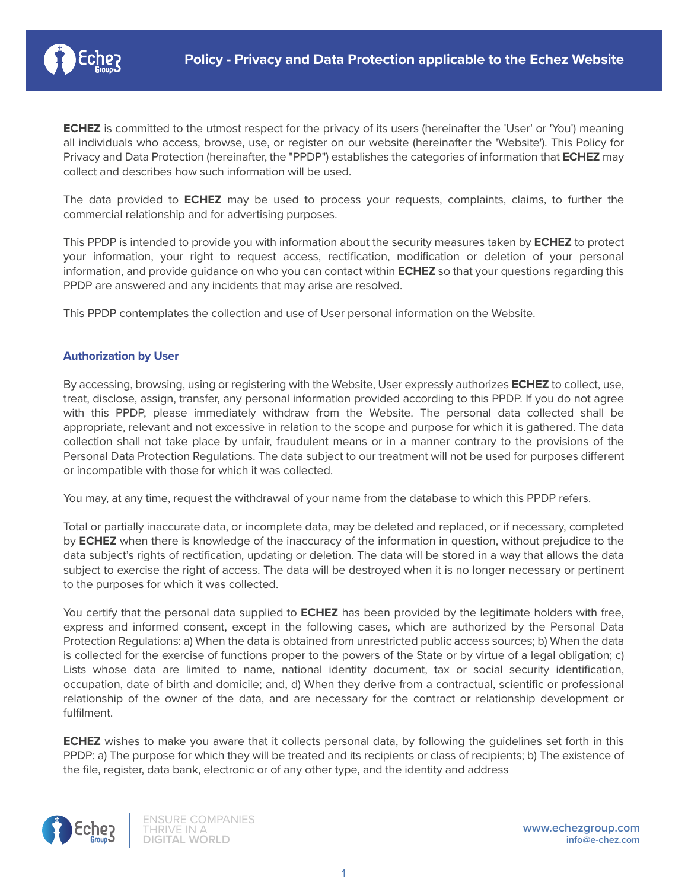

**ECHEZ** is committed to the utmost respect for the privacy of its users (hereinafter the 'User' or 'You') meaning all individuals who access, browse, use, or register on our website (hereinafter the 'Website'). This Policy for Privacy and Data Protection (hereinafter, the "PPDP") establishes the categories of information that **ECHEZ** may collect and describes how such information will be used.

The data provided to **ECHEZ** may be used to process your requests, complaints, claims, to further the commercial relationship and for advertising purposes.

This PPDP is intended to provide you with information about the security measures taken by **ECHEZ** to protect your information, your right to request access, rectification, modification or deletion of your personal information, and provide guidance on who you can contact within **ECHEZ** so that your questions regarding this PPDP are answered and any incidents that may arise are resolved.

This PPDP contemplates the collection and use of User personal information on the Website.

## **Authorization by User**

By accessing, browsing, using or registering with the Website, User expressly authorizes **ECHEZ** to collect, use, treat, disclose, assign, transfer, any personal information provided according to this PPDP. If you do not agree with this PPDP, please immediately withdraw from the Website. The personal data collected shall be appropriate, relevant and not excessive in relation to the scope and purpose for which it is gathered. The data collection shall not take place by unfair, fraudulent means or in a manner contrary to the provisions of the Personal Data Protection Regulations. The data subject to our treatment will not be used for purposes different or incompatible with those for which it was collected.

You may, at any time, request the withdrawal of your name from the database to which this PPDP refers.

Total or partially inaccurate data, or incomplete data, may be deleted and replaced, or if necessary, completed by **ECHEZ** when there is knowledge of the inaccuracy of the information in question, without prejudice to the data subject's rights of rectification, updating or deletion. The data will be stored in a way that allows the data subject to exercise the right of access. The data will be destroyed when it is no longer necessary or pertinent to the purposes for which it was collected.

You certify that the personal data supplied to **ECHEZ** has been provided by the legitimate holders with free, express and informed consent, except in the following cases, which are authorized by the Personal Data Protection Regulations: a) When the data is obtained from unrestricted public access sources; b) When the data is collected for the exercise of functions proper to the powers of the State or by virtue of a legal obligation; c) Lists whose data are limited to name, national identity document, tax or social security identification, occupation, date of birth and domicile; and, d) When they derive from a contractual, scientific or professional relationship of the owner of the data, and are necessary for the contract or relationship development or fulfilment.

**ECHEZ** wishes to make you aware that it collects personal data, by following the guidelines set forth in this PPDP: a) The purpose for which they will be treated and its recipients or class of recipients; b) The existence of the file, register, data bank, electronic or of any other type, and the identity and address

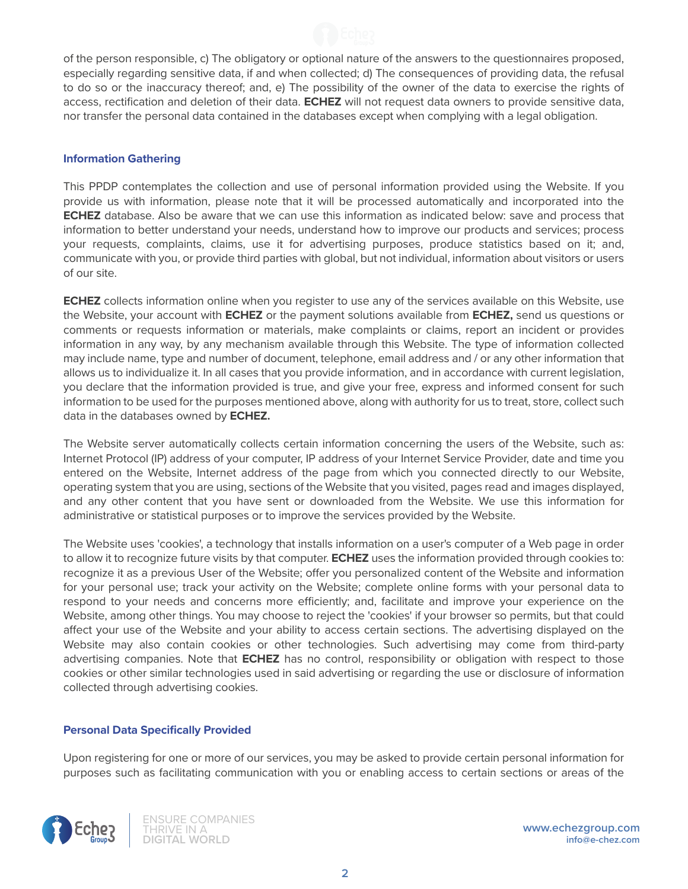

of the person responsible, c) The obligatory or optional nature of the answers to the questionnaires proposed, especially regarding sensitive data, if and when collected; d) The consequences of providing data, the refusal to do so or the inaccuracy thereof; and, e) The possibility of the owner of the data to exercise the rights of access, rectification and deletion of their data. **ECHEZ** will not request data owners to provide sensitive data, nor transfer the personal data contained in the databases except when complying with a legal obligation.

## **Information Gathering**

This PPDP contemplates the collection and use of personal information provided using the Website. If you provide us with information, please note that it will be processed automatically and incorporated into the **ECHEZ** database. Also be aware that we can use this information as indicated below: save and process that information to better understand your needs, understand how to improve our products and services; process your requests, complaints, claims, use it for advertising purposes, produce statistics based on it; and, communicate with you, or provide third parties with global, but not individual, information about visitors or users of our site.

**ECHEZ** collects information online when you register to use any of the services available on this Website, use the Website, your account with **ECHEZ** or the payment solutions available from **ECHEZ,** send us questions or comments or requests information or materials, make complaints or claims, report an incident or provides information in any way, by any mechanism available through this Website. The type of information collected may include name, type and number of document, telephone, email address and / or any other information that allows us to individualize it. In all cases that you provide information, and in accordance with current legislation, you declare that the information provided is true, and give your free, express and informed consent for such information to be used for the purposes mentioned above, along with authority for us to treat, store, collect such data in the databases owned by **ECHEZ.**

The Website server automatically collects certain information concerning the users of the Website, such as: Internet Protocol (IP) address of your computer, IP address of your Internet Service Provider, date and time you entered on the Website, Internet address of the page from which you connected directly to our Website, operating system that you are using, sections of the Website that you visited, pages read and images displayed, and any other content that you have sent or downloaded from the Website. We use this information for administrative or statistical purposes or to improve the services provided by the Website.

The Website uses 'cookies', a technology that installs information on a user's computer of a Web page in order to allow it to recognize future visits by that computer. **ECHEZ** uses the information provided through cookies to: recognize it as a previous User of the Website; offer you personalized content of the Website and information for your personal use; track your activity on the Website; complete online forms with your personal data to respond to your needs and concerns more efficiently; and, facilitate and improve your experience on the Website, among other things. You may choose to reject the 'cookies' if your browser so permits, but that could affect your use of the Website and your ability to access certain sections. The advertising displayed on the Website may also contain cookies or other technologies. Such advertising may come from third-party advertising companies. Note that **ECHEZ** has no control, responsibility or obligation with respect to those cookies or other similar technologies used in said advertising or regarding the use or disclosure of information collected through advertising cookies.

## **Personal Data Specifically Provided**

Upon registering for one or more of our services, you may be asked to provide certain personal information for purposes such as facilitating communication with you or enabling access to certain sections or areas of the

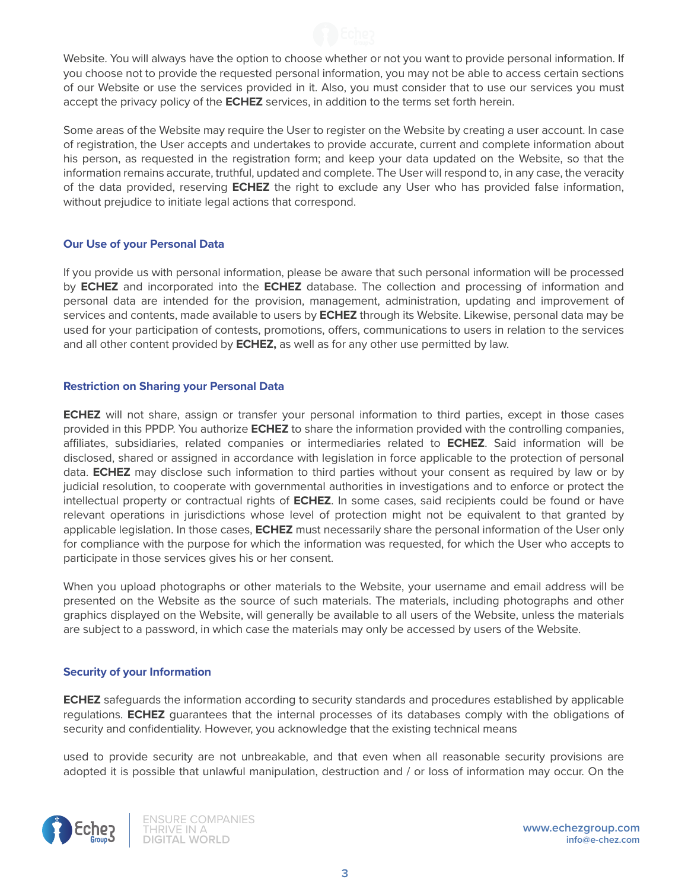

Website. You will always have the option to choose whether or not you want to provide personal information. If you choose not to provide the requested personal information, you may not be able to access certain sections of our Website or use the services provided in it. Also, you must consider that to use our services you must accept the privacy policy of the **ECHEZ** services, in addition to the terms set forth herein.

Some areas of the Website may require the User to register on the Website by creating a user account. In case of registration, the User accepts and undertakes to provide accurate, current and complete information about his person, as requested in the registration form; and keep your data updated on the Website, so that the information remains accurate, truthful, updated and complete. The User will respond to, in any case, the veracity of the data provided, reserving **ECHEZ** the right to exclude any User who has provided false information, without prejudice to initiate legal actions that correspond.

## **Our Use of your Personal Data**

If you provide us with personal information, please be aware that such personal information will be processed by **ECHEZ** and incorporated into the **ECHEZ** database. The collection and processing of information and personal data are intended for the provision, management, administration, updating and improvement of services and contents, made available to users by **ECHEZ** through its Website. Likewise, personal data may be used for your participation of contests, promotions, offers, communications to users in relation to the services and all other content provided by **ECHEZ,** as well as for any other use permitted by law.

# **Restriction on Sharing your Personal Data**

**ECHEZ** will not share, assign or transfer your personal information to third parties, except in those cases provided in this PPDP. You authorize **ECHEZ** to share the information provided with the controlling companies, affiliates, subsidiaries, related companies or intermediaries related to **ECHEZ**. Said information will be disclosed, shared or assigned in accordance with legislation in force applicable to the protection of personal data. **ECHEZ** may disclose such information to third parties without your consent as required by law or by judicial resolution, to cooperate with governmental authorities in investigations and to enforce or protect the intellectual property or contractual rights of **ECHEZ**. In some cases, said recipients could be found or have relevant operations in jurisdictions whose level of protection might not be equivalent to that granted by applicable legislation. In those cases, **ECHEZ** must necessarily share the personal information of the User only for compliance with the purpose for which the information was requested, for which the User who accepts to participate in those services gives his or her consent.

When you upload photographs or other materials to the Website, your username and email address will be presented on the Website as the source of such materials. The materials, including photographs and other graphics displayed on the Website, will generally be available to all users of the Website, unless the materials are subject to a password, in which case the materials may only be accessed by users of the Website.

## **Security of your Information**

**ECHEZ** safeguards the information according to security standards and procedures established by applicable regulations. **ECHEZ** guarantees that the internal processes of its databases comply with the obligations of security and confidentiality. However, you acknowledge that the existing technical means

used to provide security are not unbreakable, and that even when all reasonable security provisions are adopted it is possible that unlawful manipulation, destruction and / or loss of information may occur. On the